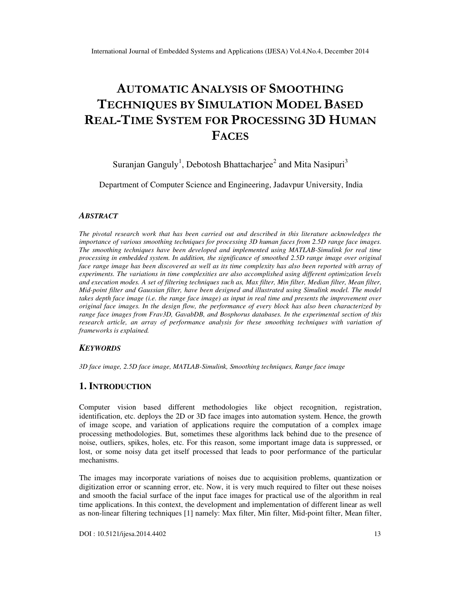# **AUTOMATIC ANALYSIS OF SMOOTHING TECHNIQUES BY SIMULATION MODEL BASED REAL-TIME SYSTEM FOR PROCESSING 3D HUMAN FACES**

Suranjan Ganguly<sup>1</sup>, Debotosh Bhattacharjee<sup>2</sup> and Mita Nasipuri<sup>3</sup>

Department of Computer Science and Engineering, Jadavpur University, India

#### *ABSTRACT*

*The pivotal research work that has been carried out and described in this literature acknowledges the importance of various smoothing techniques for processing 3D human faces from 2.5D range face images. The smoothing techniques have been developed and implemented using MATLAB-Simulink for real time processing in embedded system. In addition, the significance of smoothed 2.5D range image over original face range image has been discovered as well as its time complexity has also been reported with array of experiments. The variations in time complexities are also accomplished using different optimization levels and execution modes. A set of filtering techniques such as, Max filter, Min filter, Median filter, Mean filter, Mid-point filter and Gaussian filter, have been designed and illustrated using Simulink model. The model takes depth face image (i.e. the range face image) as input in real time and presents the improvement over original face images. In the design flow, the performance of every block has also been characterized by range face images from Frav3D, GavabDB, and Bosphorus databases. In the experimental section of this research article, an array of performance analysis for these smoothing techniques with variation of frameworks is explained.* 

### *KEYWORDS*

*3D face image, 2.5D face image, MATLAB-Simulink, Smoothing techniques, Range face image* 

## **1. INTRODUCTION**

Computer vision based different methodologies like object recognition, registration, identification, etc. deploys the 2D or 3D face images into automation system. Hence, the growth of image scope, and variation of applications require the computation of a complex image processing methodologies. But, sometimes these algorithms lack behind due to the presence of noise, outliers, spikes, holes, etc. For this reason, some important image data is suppressed, or lost, or some noisy data get itself processed that leads to poor performance of the particular mechanisms.

The images may incorporate variations of noises due to acquisition problems, quantization or digitization error or scanning error, etc. Now, it is very much required to filter out these noises and smooth the facial surface of the input face images for practical use of the algorithm in real time applications. In this context, the development and implementation of different linear as well as non-linear filtering techniques [1] namely: Max filter, Min filter, Mid-point filter, Mean filter,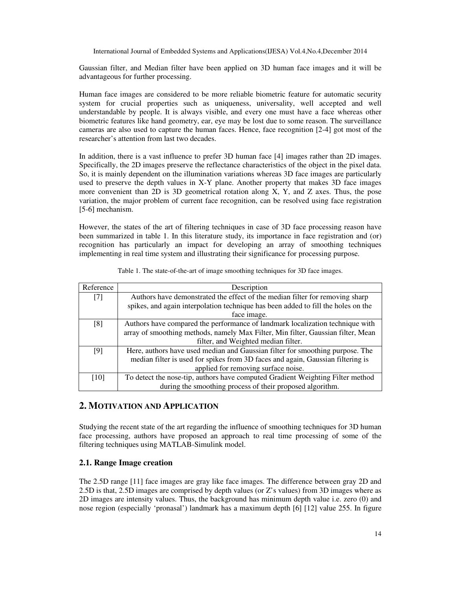Gaussian filter, and Median filter have been applied on 3D human face images and it will be advantageous for further processing.

Human face images are considered to be more reliable biometric feature for automatic security system for crucial properties such as uniqueness, universality, well accepted and well understandable by people. It is always visible, and every one must have a face whereas other biometric features like hand geometry, ear, eye may be lost due to some reason. The surveillance cameras are also used to capture the human faces. Hence, face recognition [2-4] got most of the researcher's attention from last two decades.

In addition, there is a vast influence to prefer 3D human face [4] images rather than 2D images. Specifically, the 2D images preserve the reflectance characteristics of the object in the pixel data. So, it is mainly dependent on the illumination variations whereas 3D face images are particularly used to preserve the depth values in X-Y plane. Another property that makes 3D face images more convenient than 2D is 3D geometrical rotation along X, Y, and Z axes. Thus, the pose variation, the major problem of current face recognition, can be resolved using face registration [5-6] mechanism.

However, the states of the art of filtering techniques in case of 3D face processing reason have been summarized in table 1. In this literature study, its importance in face registration and (or) recognition has particularly an impact for developing an array of smoothing techniques implementing in real time system and illustrating their significance for processing purpose.

| Reference | Description                                                                       |
|-----------|-----------------------------------------------------------------------------------|
| $[7]$     | Authors have demonstrated the effect of the median filter for removing sharp      |
|           | spikes, and again interpolation technique has been added to fill the holes on the |
|           | face image.                                                                       |
| [8]       | Authors have compared the performance of landmark localization technique with     |
|           | array of smoothing methods, namely Max Filter, Min filter, Gaussian filter, Mean  |
|           | filter, and Weighted median filter.                                               |
| [9]       | Here, authors have used median and Gaussian filter for smoothing purpose. The     |
|           | median filter is used for spikes from 3D faces and again, Gaussian filtering is   |
|           | applied for removing surface noise.                                               |
| [10]      | To detect the nose-tip, authors have computed Gradient Weighting Filter method    |
|           | during the smoothing process of their proposed algorithm.                         |

Table 1. The state-of-the-art of image smoothing techniques for 3D face images.

# **2. MOTIVATION AND APPLICATION**

Studying the recent state of the art regarding the influence of smoothing techniques for 3D human face processing, authors have proposed an approach to real time processing of some of the filtering techniques using MATLAB-Simulink model.

## **2.1. Range Image creation**

The 2.5D range [11] face images are gray like face images. The difference between gray 2D and 2.5D is that, 2.5D images are comprised by depth values (or Z's values) from 3D images where as 2D images are intensity values. Thus, the background has minimum depth value i.e. zero (0) and nose region (especially 'pronasal') landmark has a maximum depth [6] [12] value 255. In figure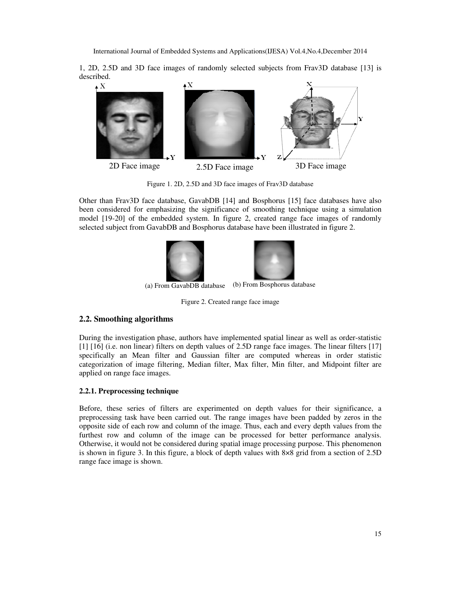1, 2D, 2.5D and 3D face images of randomly selected subjects from Frav3D database [13] is described.



Figure 1. 2D, 2.5D and 3D face images of Frav3D database

Other than Frav3D face database, GavabDB [14] and Bosphorus [15] face databases have also been considered for emphasizing the significance of smoothing technique using a simulation model [19-20] of the embedded system. In figure 2, created range face images of randomly selected subject from GavabDB and Bosphorus database have been illustrated in figure 2.



(a) From GavabDB database (b) From Bosphorus database

Figure 2. Created range face image

# **2.2. Smoothing algorithms**

During the investigation phase, authors have implemented spatial linear as well as order-statistic [1] [16] (i.e. non linear) filters on depth values of 2.5D range face images. The linear filters [17] specifically an Mean filter and Gaussian filter are computed whereas in order statistic categorization of image filtering, Median filter, Max filter, Min filter, and Midpoint filter are applied on range face images.

## **2.2.1. Preprocessing technique**

Before, these series of filters are experimented on depth values for their significance, a preprocessing task have been carried out. The range images have been padded by zeros in the opposite side of each row and column of the image. Thus, each and every depth values from the furthest row and column of the image can be processed for better performance analysis. Otherwise, it would not be considered during spatial image processing purpose. This phenomenon is shown in figure 3. In this figure, a block of depth values with 8×8 grid from a section of 2.5D range face image is shown.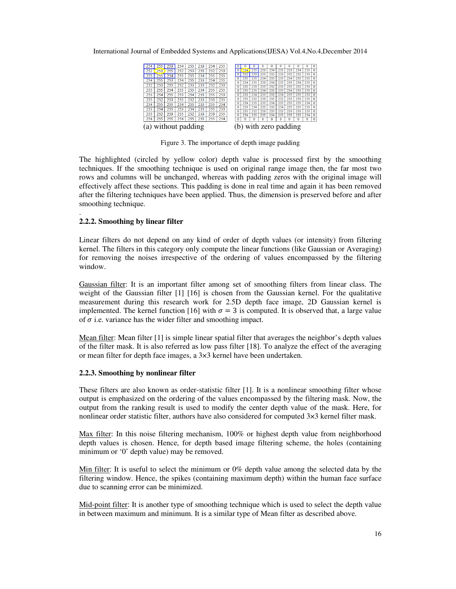International Journal of Embedded Systems and Applications(IJESA) Vol.4,No.4,December 2014

| 254 |                                      | 253 | 254 | 255 | 253 | 254 | 255 |  | 0                    |     |          | 0   | 0   | 0        | o   | $\Omega$ | $\Omega$ | $\mathbf 0$  |
|-----|--------------------------------------|-----|-----|-----|-----|-----|-----|--|----------------------|-----|----------|-----|-----|----------|-----|----------|----------|--------------|
| 252 | 253                                  | 255 | 252 | 253 | 255 | 252 | 253 |  |                      | 254 | 255      | 253 | 254 | 255      | 253 | 254      | 255      | $\Omega$     |
| 255 |                                      | 254 | 255 | 255 | 254 | 255 | 255 |  |                      |     | 253      | 255 | 252 | 253      | 255 | 252      | 253      | 0            |
| 254 | 255                                  | 253 | 254 | 255 | 253 | 254 | 255 |  | $\Omega$             | 255 | 255      | 254 | 255 | 255      | 254 | 255      | 255      | $\mathbf{0}$ |
|     |                                      |     |     |     |     |     |     |  | $\theta$             | 254 | 255      | 253 | 254 | 255      | 253 | 254      | 255      | $\Omega$     |
| 252 | 253                                  | 255 | 252 | 253 | 255 | 252 | 253 |  | $\ddot{\phantom{0}}$ | 252 | 253      | 255 | 252 | 253      | 255 | 252      | 253      | 0            |
| 255 | 255                                  | 254 | 255 | 255 | 254 | 255 | 255 |  | $\ddot{\phantom{0}}$ | 255 | 255      | 254 | 255 | 255      | 254 | 255      | 255      | 0            |
| 253 | 254                                  | 255 | 253 | 254 | 255 | 255 | 253 |  | $\Omega$             | 253 | 254      | 255 | 253 | 254      | 255 | 255      | 253      | $\Omega$     |
| 255 | 252                                  | 253 | 255 | 252 | 253 | 253 | 255 |  | $\Omega$             | 255 | 252      | 253 | 255 | 252      | 253 | 253      | 255      | $\Omega$     |
| 254 | 255                                  | 255 | 254 | 255 | 255 | 255 | 254 |  | $\theta$             | 254 | 255      | 255 | 254 | 255      | 255 | 255      | 254      | $\Omega$     |
|     |                                      |     |     |     |     |     |     |  | $\bf{0}$             | 253 | 254      | 255 | 253 | 254      | 255 | 255      | 253      | $\mathbf{0}$ |
| 253 | 254                                  | 255 | 253 | 254 | 255 | 255 | 253 |  | $\Omega$             | 255 | 252      | 253 | 255 | 252      | 253 | 253      | 255      | $\Omega$     |
| 255 | 252                                  | 253 | 255 | 252 | 253 | 253 | 255 |  | $\Omega$             | 254 | 255      | 255 | 254 | 255      | 255 | 255      | 254      | 0            |
| 254 | 255                                  | 255 | 254 | 255 | 255 | 255 | 254 |  | $\mathbf{0}$         | 0   | $\Omega$ | Ō   |     | $\Omega$ | 0   | $\Omega$ | 0        | $\mathbf 0$  |
|     | without padding<br>with zero padding |     |     |     |     |     |     |  |                      |     |          |     |     |          |     |          |          |              |

Figure 3. The importance of depth image padding

The highlighted (circled by yellow color) depth value is processed first by the smoothing techniques. If the smoothing technique is used on original range image then, the far most two rows and columns will be unchanged, whereas with padding zeros with the original image will effectively affect these sections. This padding is done in real time and again it has been removed after the filtering techniques have been applied. Thus, the dimension is preserved before and after smoothing technique.

#### **2.2.2. Smoothing by linear filter**

.

Linear filters do not depend on any kind of order of depth values (or intensity) from filtering kernel. The filters in this category only compute the linear functions (like Gaussian or Averaging) for removing the noises irrespective of the ordering of values encompassed by the filtering window.

Gaussian filter: It is an important filter among set of smoothing filters from linear class. The weight of the Gaussian filter [1] [16] is chosen from the Gaussian kernel. For the qualitative measurement during this research work for 2.5D depth face image, 2D Gaussian kernel is implemented. The kernel function [16] with  $\sigma = 3$  is computed. It is observed that, a large value of  $\sigma$  i.e. variance has the wider filter and smoothing impact.

Mean filter: Mean filter [1] is simple linear spatial filter that averages the neighbor's depth values of the filter mask. It is also referred as low pass filter [18]. To analyze the effect of the averaging or mean filter for depth face images, a 3×3 kernel have been undertaken.

#### **2.2.3. Smoothing by nonlinear filter**

These filters are also known as order-statistic filter [1]. It is a nonlinear smoothing filter whose output is emphasized on the ordering of the values encompassed by the filtering mask. Now, the output from the ranking result is used to modify the center depth value of the mask. Here, for nonlinear order statistic filter, authors have also considered for computed 3×3 kernel filter mask.

Max filter: In this noise filtering mechanism, 100% or highest depth value from neighborhood depth values is chosen. Hence, for depth based image filtering scheme, the holes (containing minimum or '0' depth value) may be removed.

Min filter: It is useful to select the minimum or 0% depth value among the selected data by the filtering window. Hence, the spikes (containing maximum depth) within the human face surface due to scanning error can be minimized.

Mid-point filter: It is another type of smoothing technique which is used to select the depth value in between maximum and minimum. It is a similar type of Mean filter as described above.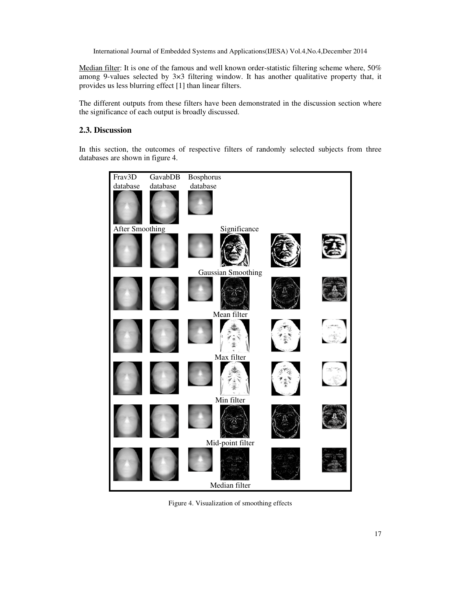Median filter: It is one of the famous and well known order-statistic filtering scheme where, 50% among 9-values selected by  $3\times3$  filtering window. It has another qualitative property that, it provides us less blurring effect [1] than linear filters.

The different outputs from these filters have been demonstrated in the discussion section where the significance of each output is broadly discussed.

# **2.3. Discussion**

In this section, the outcomes of respective filters of randomly selected subjects from three databases are shown in figure 4.



Figure 4. Visualization of smoothing effects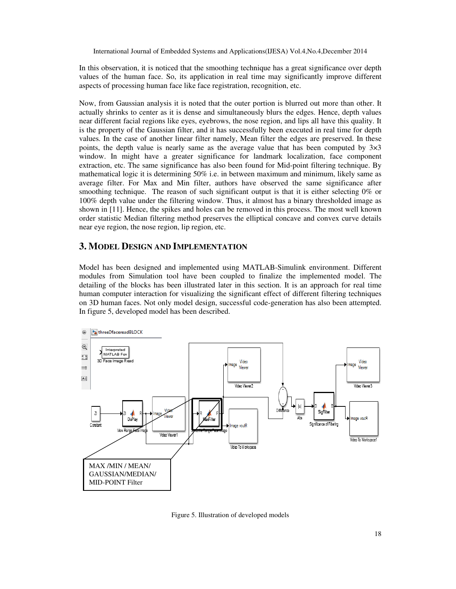In this observation, it is noticed that the smoothing technique has a great significance over depth values of the human face. So, its application in real time may significantly improve different aspects of processing human face like face registration, recognition, etc.

Now, from Gaussian analysis it is noted that the outer portion is blurred out more than other. It actually shrinks to center as it is dense and simultaneously blurs the edges. Hence, depth values near different facial regions like eyes, eyebrows, the nose region, and lips all have this quality. It is the property of the Gaussian filter, and it has successfully been executed in real time for depth values. In the case of another linear filter namely, Mean filter the edges are preserved. In these points, the depth value is nearly same as the average value that has been computed by  $3\times3$ window. In might have a greater significance for landmark localization, face component extraction, etc. The same significance has also been found for Mid-point filtering technique. By mathematical logic it is determining 50% i.e. in between maximum and minimum, likely same as average filter. For Max and Min filter, authors have observed the same significance after smoothing technique. The reason of such significant output is that it is either selecting 0% or 100% depth value under the filtering window. Thus, it almost has a binary thresholded image as shown in [11]. Hence, the spikes and holes can be removed in this process. The most well known order statistic Median filtering method preserves the elliptical concave and convex curve details near eye region, the nose region, lip region, etc.

# **3. MODEL DESIGN AND IMPLEMENTATION**

Model has been designed and implemented using MATLAB-Simulink environment. Different modules from Simulation tool have been coupled to finalize the implemented model. The detailing of the blocks has been illustrated later in this section. It is an approach for real time human computer interaction for visualizing the significant effect of different filtering techniques on 3D human faces. Not only model design, successful code-generation has also been attempted. In figure 5, developed model has been described.



Figure 5. Illustration of developed models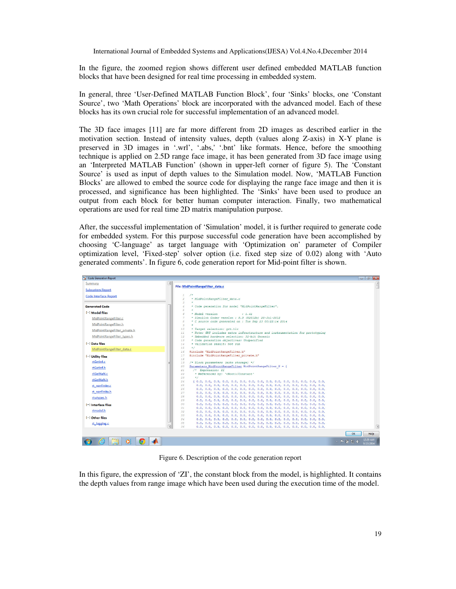In the figure, the zoomed region shows different user defined embedded MATLAB function blocks that have been designed for real time processing in embedded system.

In general, three 'User-Defined MATLAB Function Block', four 'Sinks' blocks, one 'Constant Source', two 'Math Operations' block are incorporated with the advanced model. Each of these blocks has its own crucial role for successful implementation of an advanced model.

The 3D face images [11] are far more different from 2D images as described earlier in the motivation section. Instead of intensity values, depth (values along Z-axis) in X-Y plane is preserved in 3D images in '.wrl', '.abs,' '.bnt' like formats. Hence, before the smoothing technique is applied on 2.5D range face image, it has been generated from 3D face image using an 'Interpreted MATLAB Function' (shown in upper-left corner of figure 5). The 'Constant Source' is used as input of depth values to the Simulation model. Now, 'MATLAB Function Blocks' are allowed to embed the source code for displaying the range face image and then it is processed, and significance has been highlighted. The 'Sinks' have been used to produce an output from each block for better human computer interaction. Finally, two mathematical operations are used for real time 2D matrix manipulation purpose.

After, the successful implementation of 'Simulation' model, it is further required to generate code for embedded system. For this purpose successful code generation have been accomplished by choosing 'C-language' as target language with 'Optimization on' parameter of Compiler optimization level, 'Fixed-step' solver option (i.e. fixed step size of 0.02) along with 'Auto generated comments'. In figure 6, code generation report for Mid-point filter is shown.

| Code Generation Report        |                                                                                                                                            | $   -$                  |
|-------------------------------|--------------------------------------------------------------------------------------------------------------------------------------------|-------------------------|
| Summary                       | File: MidPointRangeFilter_data.c                                                                                                           |                         |
| <b>Subsystem Report</b>       |                                                                                                                                            |                         |
| <b>Code Interface Report</b>  | $/$ *<br>$\mathbf{1}$<br>$\overline{2}$<br>* MidPointRangeFilter data.c<br>$\mathcal{S}$                                                   |                         |
| <b>Generated Code</b>         | * Code generation for model "MidPointRangeFilter".<br>$\leq$                                                                               |                         |
| [-] Model files               | 5<br>6<br>* Model version<br>1.41                                                                                                          |                         |
| MidPointRangeFilter.c         | * Simulink Coder version : 8.3 (R2012b) 20-Jul-2012<br>$\overline{7}$                                                                      |                         |
| MidPointRangeFilter.h         | * C source code generated on : Tue Sep 23 00:22:14 2014<br>$\mathcal{R}$<br>9                                                              |                         |
| MidPointRangeFilter private.h | 10<br>* Target selection: grt.tlc                                                                                                          |                         |
| MidPointRangeFilter types.h   | * Note: GRT includes extra infrastructure and instrumentation for prototyping<br>11<br>12<br>* Embedded hardware selection: 32-bit Generic |                         |
|                               | * Code generation objectives: Unspecified<br>13                                                                                            |                         |
| [-] Data files                | * Validation result: Not run<br>14                                                                                                         |                         |
| MidPointRangeFilter data.c    | 15<br>$\star$ /<br>#include "MidPointRangeFilter.h"<br>16                                                                                  |                         |
| [-] Utility files             | #include "MidPointRangeFilter private.h"<br>17<br>18                                                                                       |                         |
| rtGetInf.c                    | /* Block parameters (auto storage) */<br>19                                                                                                |                         |
| rtGetInf.h                    | Parameters MidPointRangeFilter MidPointRangeFilter P = {<br>20                                                                             |                         |
| rtGetNaN.c                    | /* Expression: ZI<br>21<br>22<br>* Referenced by: ' <root>/Constant'</root>                                                                |                         |
| rtGetNaN.h                    | 23<br>$+1$                                                                                                                                 |                         |
|                               | 24                                                                                                                                         |                         |
| rt_nonfinite.c                | 25<br>$26^{6}$                                                                                                                             |                         |
| rt_nonfinite.h                | 27                                                                                                                                         |                         |
| rtwtypes.h                    | 28                                                                                                                                         |                         |
|                               | 29<br>30                                                                                                                                   |                         |
| $[-]$ Interface files         | 31                                                                                                                                         |                         |
| rtmodel.h                     | 32                                                                                                                                         |                         |
| [-] Other files               | 33<br>34                                                                                                                                   |                         |
| rt logging.c                  | 35                                                                                                                                         |                         |
|                               | 36                                                                                                                                         | $\overline{\mathbf{r}}$ |
|                               |                                                                                                                                            | <b>Help</b><br>OK       |
| $\overline{\mathbf{o}}$<br>Ю  | △ ■ 蘭 知 (6)                                                                                                                                | 12:29 AM<br>1/23/2014   |

Figure 6. Description of the code generation report

In this figure, the expression of 'ZI', the constant block from the model, is highlighted. It contains the depth values from range image which have been used during the execution time of the model.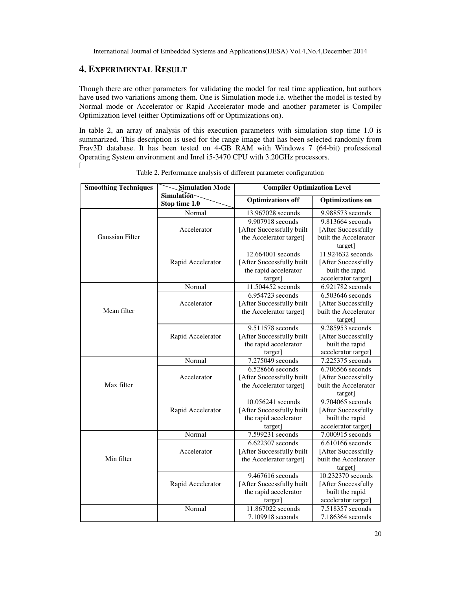# **4. EXPERIMENTAL RESULT**

Though there are other parameters for validating the model for real time application, but authors have used two variations among them. One is Simulation mode i.e. whether the model is tested by Normal mode or Accelerator or Rapid Accelerator mode and another parameter is Compiler Optimization level (either Optimizations off or Optimizations on).

In table 2, an array of analysis of this execution parameters with simulation stop time 1.0 is summarized. This description is used for the range image that has been selected randomly from Frav3D database. It has been tested on 4-GB RAM with Windows 7 (64-bit) professional Operating System environment and Inrel i5-3470 CPU with 3.20GHz processors.  $\overline{[}$ 

| <b>Smoothing Techniques</b> | <b>Simulation Mode</b>             | <b>Compiler Optimization Level</b> |                         |  |  |  |  |
|-----------------------------|------------------------------------|------------------------------------|-------------------------|--|--|--|--|
|                             | <b>Simulation</b><br>Stop time 1.0 | <b>Optimizations off</b>           | <b>Optimizations</b> on |  |  |  |  |
|                             | Normal                             | 13.967028 seconds                  | 9.988573 seconds        |  |  |  |  |
|                             |                                    | 9.907918 seconds                   | 9.813664 seconds        |  |  |  |  |
|                             | Accelerator                        | [After Successfully built          | [After Successfully     |  |  |  |  |
| <b>Gaussian Filter</b>      |                                    | the Accelerator target]            | built the Accelerator   |  |  |  |  |
|                             |                                    |                                    | target]                 |  |  |  |  |
|                             |                                    | 12.664001 seconds                  | 11.924632 seconds       |  |  |  |  |
|                             | Rapid Accelerator                  | [After Successfully built          | [After Successfully     |  |  |  |  |
|                             |                                    | the rapid accelerator              | built the rapid         |  |  |  |  |
|                             |                                    | target]                            | accelerator target]     |  |  |  |  |
|                             | Normal                             | 11.504452 seconds                  | 6.921782 seconds        |  |  |  |  |
|                             |                                    | 6.954723 seconds                   | $6.503646$ seconds      |  |  |  |  |
|                             | Accelerator                        | [After Successfully built          | [After Successfully     |  |  |  |  |
| Mean filter                 |                                    | the Accelerator target]            | built the Accelerator   |  |  |  |  |
|                             |                                    |                                    | target]                 |  |  |  |  |
|                             |                                    | 9.511578 seconds                   | 9.285953 seconds        |  |  |  |  |
|                             | Rapid Accelerator                  | [After Successfully built          | [After Successfully     |  |  |  |  |
|                             |                                    | the rapid accelerator              | built the rapid         |  |  |  |  |
|                             |                                    | target]                            | accelerator target]     |  |  |  |  |
|                             | Normal                             | 7.275049 seconds                   | 7.225375 seconds        |  |  |  |  |
|                             |                                    | 6.528666 seconds                   | 6.706566 seconds        |  |  |  |  |
|                             | Accelerator                        | [After Successfully built          | [After Successfully     |  |  |  |  |
| Max filter                  |                                    | the Accelerator target]            | built the Accelerator   |  |  |  |  |
|                             |                                    |                                    | target]                 |  |  |  |  |
|                             |                                    | 10.056241 seconds                  | 9.704065 seconds        |  |  |  |  |
|                             | Rapid Accelerator                  | [After Successfully built          | [After Successfully     |  |  |  |  |
|                             |                                    | the rapid accelerator              | built the rapid         |  |  |  |  |
|                             |                                    | target]                            | accelerator target]     |  |  |  |  |
|                             | Normal                             | 7.599231 seconds                   | 7.000915 seconds        |  |  |  |  |
|                             |                                    | 6.622307 seconds                   | 6.610166 seconds        |  |  |  |  |
|                             | Accelerator                        | [After Successfully built          | [After Successfully     |  |  |  |  |
| Min filter                  |                                    | the Accelerator target]            | built the Accelerator   |  |  |  |  |
|                             |                                    |                                    | target]                 |  |  |  |  |
|                             |                                    | 9.467616 seconds                   | 10.232370 seconds       |  |  |  |  |
|                             | Rapid Accelerator                  | [After Successfully built          | [After Successfully     |  |  |  |  |
|                             |                                    | the rapid accelerator              | built the rapid         |  |  |  |  |
|                             |                                    | target]                            | accelerator target]     |  |  |  |  |
|                             | Normal                             | 11.867022 seconds                  | 7.518357 seconds        |  |  |  |  |
|                             |                                    | 7.109918 seconds                   | 7.186364 seconds        |  |  |  |  |

|  | Table 2. Performance analysis of different parameter configuration |
|--|--------------------------------------------------------------------|
|  |                                                                    |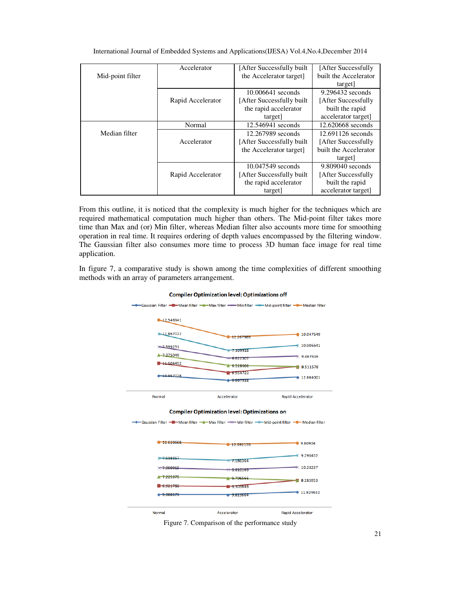|                  | Accelerator       | [After Successfully built] | [After Successfully   |  |  |
|------------------|-------------------|----------------------------|-----------------------|--|--|
| Mid-point filter |                   | the Accelerator target]    | built the Accelerator |  |  |
|                  |                   |                            | target                |  |  |
|                  |                   | 10.006641 seconds          | 9.296432 seconds      |  |  |
|                  | Rapid Accelerator | [After Successfully built] | [After Successfully   |  |  |
|                  |                   | the rapid accelerator      | built the rapid       |  |  |
|                  |                   | target]                    | accelerator target]   |  |  |
|                  | Normal            | 12.546941 seconds          | 12.620668 seconds     |  |  |
| Median filter    |                   | 12.267989 seconds          | 12.691126 seconds     |  |  |
|                  | Accelerator       | [After Successfully built] | [After Successfully   |  |  |
|                  |                   | the Accelerator target]    | built the Accelerator |  |  |
|                  |                   |                            | target                |  |  |
|                  |                   | 10.047549 seconds          | $9.809040$ seconds    |  |  |
|                  | Rapid Accelerator | [After Successfully built] | [After Successfully   |  |  |
|                  |                   | the rapid accelerator      | built the rapid       |  |  |
|                  |                   | target]                    | accelerator target]   |  |  |

International Journal of Embedded Systems and Applications(IJESA) Vol.4,No.4,December 2014

From this outline, it is noticed that the complexity is much higher for the techniques which are required mathematical computation much higher than others. The Mid-point filter takes more time than Max and (or) Min filter, whereas Median filter also accounts more time for smoothing operation in real time. It requires ordering of depth values encompassed by the filtering window. The Gaussian filter also consumes more time to process 3D human face image for real time application.

In figure 7, a comparative study is shown among the time complexities of different smoothing methods with an array of parameters arrangement.



**Compiler Optimization level: Optimizations off** 

Figure 7. Comparison of the performance study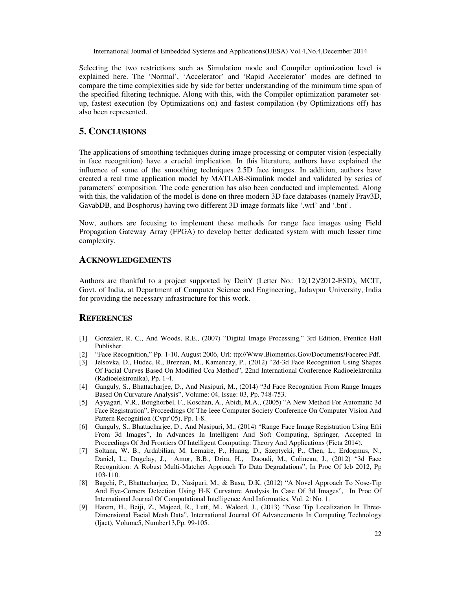Selecting the two restrictions such as Simulation mode and Compiler optimization level is explained here. The 'Normal', 'Accelerator' and 'Rapid Accelerator' modes are defined to compare the time complexities side by side for better understanding of the minimum time span of the specified filtering technique. Along with this, with the Compiler optimization parameter setup, fastest execution (by Optimizations on) and fastest compilation (by Optimizations off) has also been represented.

# **5. CONCLUSIONS**

The applications of smoothing techniques during image processing or computer vision (especially in face recognition) have a crucial implication. In this literature, authors have explained the influence of some of the smoothing techniques 2.5D face images. In addition, authors have created a real time application model by MATLAB-Simulink model and validated by series of parameters' composition. The code generation has also been conducted and implemented. Along with this, the validation of the model is done on three modern 3D face databases (namely Frav3D, GavabDB, and Bosphorus) having two different 3D image formats like '.wrl' and '.bnt'.

Now, authors are focusing to implement these methods for range face images using Field Propagation Gateway Array (FPGA) to develop better dedicated system with much lesser time complexity.

## **ACKNOWLEDGEMENTS**

Authors are thankful to a project supported by DeitY (Letter No.: 12(12)/2012-ESD), MCIT, Govt. of India, at Department of Computer Science and Engineering, Jadavpur University, India for providing the necessary infrastructure for this work.

## **REFERENCES**

- [1] Gonzalez, R. C., And Woods, R.E., (2007) "Digital Image Processing," 3rd Edition, Prentice Hall Publisher.
- [2] "Face Recognition," Pp. 1-10, August 2006, Url: ttp://Www.Biometrics.Gov/Documents/Facerec.Pdf.
- [3] Jelsovka, D., Hudec, R., Breznan, M., Kamencay, P., (2012) "2d-3d Face Recognition Using Shapes Of Facial Curves Based On Modified Cca Method", 22nd International Conference Radioelektronika (Radioelektronika), Pp. 1-4.
- [4] Ganguly, S., Bhattacharjee, D., And Nasipuri, M., (2014) "3d Face Recognition From Range Images Based On Curvature Analysis", Volume: 04, Issue: 03, Pp. 748-753.
- [5] Ayyagari, V.R., Boughorbel, F., Koschan, A., Abidi, M.A., (2005) "A New Method For Automatic 3d Face Registration", Proceedings Of The Ieee Computer Society Conference On Computer Vision And Pattern Recognition (Cvpr'05), Pp. 1-8.
- [6] Ganguly, S., Bhattacharjee, D., And Nasipuri, M., (2014) "Range Face Image Registration Using Efri From 3d Images", In Advances In Intelligent And Soft Computing, Springer, Accepted In Proceedings Of 3rd Frontiers Of Intelligent Computing: Theory And Applications (Ficta 2014).
- [7] Soltana, W. B., Ardabilian, M. Lemaire, P., Huang, D., Szeptycki, P., Chen, L., Erdogmus, N., Daniel, L., Dugelay, J., Amor, B.B., Drira, H., Daoudi, M., Colineau, J., (2012) "3d Face Recognition: A Robust Multi-Matcher Approach To Data Degradations", In Proc Of Icb 2012, Pp 103-110.
- [8] Bagchi, P., Bhattacharjee, D., Nasipuri, M., & Basu, D.K. (2012) "A Novel Approach To Nose-Tip And Eye-Corners Detection Using H-K Curvature Analysis In Case Of 3d Images", In Proc Of International Journal Of Computational Intelligence And Informatics, Vol. 2: No. 1.
- [9] Hatem, H., Beiji, Z., Majeed, R., Lutf, M., Waleed, J., (2013) "Nose Tip Localization In Three-Dimensional Facial Mesh Data", International Journal Of Advancements In Computing Technology (Ijact), Volume5, Number13,Pp. 99-105.